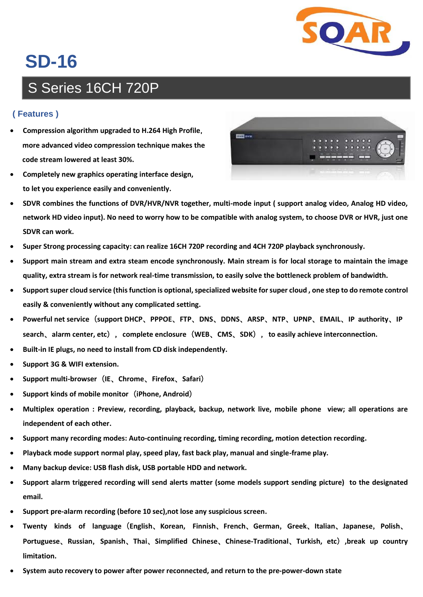

## **SD-16**

## S Series 16CH 720P

## **( Features )**

- **Compression algorithm upgraded to H.264 High Profile**,  **more advanced video compression technique makes the code stream lowered at least 30%.**
- **Completely new graphics operating interface design, to let you experience easily and conveniently.**



- **SDVR combines the functions of DVR/HVR/NVR together, multi-mode input ( support analog video, Analog HD video, network HD video input). No need to worry how to be compatible with analog system, to choose DVR or HVR, just one SDVR can work.**
- **Super Strong processing capacity: can realize 16CH 720P recording and 4CH 720P playback synchronously.**
- **Support main stream and extra steam encode synchronously. Main stream is for local storage to maintain the image quality, extra stream is for network real-time transmission, to easily solve the bottleneck problem of bandwidth.**
- Support super cloud service (this function is optional, specialized website for super cloud, one step to do remote control **easily & conveniently without any complicated setting.**
- **Powerful net service**(**support DHCP**、**PPPOE**、**FTP**、**DNS**、**DDNS**、**ARSP**、**NTP**、**UPNP**、**EMAIL**、**IP authority**、**IP search**、**alarm center, etc**),**complete enclosure**(**WEB**、**CMS**、**SDK**),**to easily achieve interconnection.**
- **Built-in IE plugs, no need to install from CD disk independently.**
- **Support 3G & WIFI extension.**
- **Support multi-browser**(**IE**、**Chrome**、**Firefox**、**Safari**)
- **Support kinds of mobile monitor**(**iPhone, Android**)
- **Multiplex operation : Preview, recording, playback, backup, network live, mobile phone view; all operations are independent of each other.**
- **Support many recording modes: Auto-continuing recording, timing recording, motion detection recording.**
- **Playback mode support normal play, speed play, fast back play, manual and single-frame play.**
- **Many backup device: USB flash disk, USB portable HDD and network.**
- **Support alarm triggered recording will send alerts matter (some models support sending picture) to the designated email.**
- **Support pre-alarm recording (before 10 sec),not lose any suspicious screen.**
- **Twenty kinds of language**(**English**、**Korean, Finnish**、**French**、**German**,**Greek**、**Italian**、**Japanese**,**Polish**、 **Portuguese**、**Russian**,**Spanish**、**Thai**、**Simplified Chinese**、**Chinese-Traditional**、**Turkish, etc**)**,break up country limitation.**
- **System auto recovery to power after power reconnected, and return to the pre-power-down state**